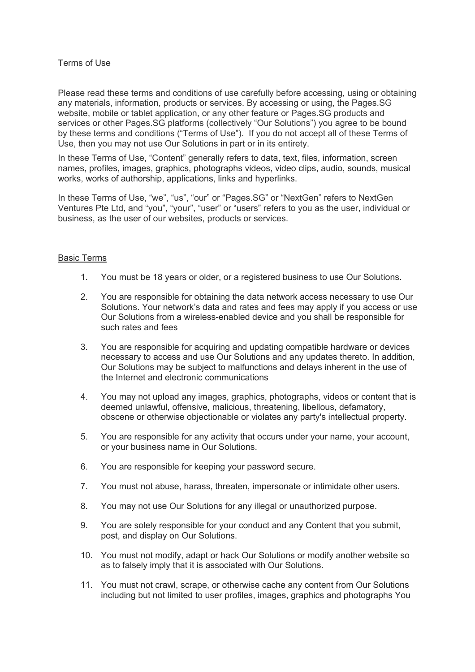# Terms of Use

Please read these terms and conditions of use carefully before accessing, using or obtaining any materials, information, products or services. By accessing or using, the Pages.SG website, mobile or tablet application, or any other feature or Pages.SG products and services or other Pages.SG platforms (collectively "Our Solutions") you agree to be bound by these terms and conditions ("Terms of Use"). If you do not accept all of these Terms of Use, then you may not use Our Solutions in part or in its entirety.

In these Terms of Use, "Content" generally refers to data, text, files, information, screen names, profiles, images, graphics, photographs videos, video clips, audio, sounds, musical works, works of authorship, applications, links and hyperlinks.

In these Terms of Use, "we", "us", "our" or "Pages.SG" or "NextGen" refers to NextGen Ventures Pte Ltd, and "you", "your", "user" or "users" refers to you as the user, individual or business, as the user of our websites, products or services.

# Basic Terms

- 1. You must be 18 years or older, or a registered business to use Our Solutions.
- 2. You are responsible for obtaining the data network access necessary to use Our Solutions. Your network's data and rates and fees may apply if you access or use Our Solutions from a wireless-enabled device and you shall be responsible for such rates and fees
- 3. You are responsible for acquiring and updating compatible hardware or devices necessary to access and use Our Solutions and any updates thereto. In addition, Our Solutions may be subject to malfunctions and delays inherent in the use of the Internet and electronic communications
- 4. You may not upload any images, graphics, photographs, videos or content that is deemed unlawful, offensive, malicious, threatening, libellous, defamatory, obscene or otherwise objectionable or violates any party's intellectual property.
- 5. You are responsible for any activity that occurs under your name, your account, or your business name in Our Solutions.
- 6. You are responsible for keeping your password secure.
- 7. You must not abuse, harass, threaten, impersonate or intimidate other users.
- 8. You may not use Our Solutions for any illegal or unauthorized purpose.
- 9. You are solely responsible for your conduct and any Content that you submit, post, and display on Our Solutions.
- 10. You must not modify, adapt or hack Our Solutions or modify another website so as to falsely imply that it is associated with Our Solutions.
- 11. You must not crawl, scrape, or otherwise cache any content from Our Solutions including but not limited to user profiles, images, graphics and photographs You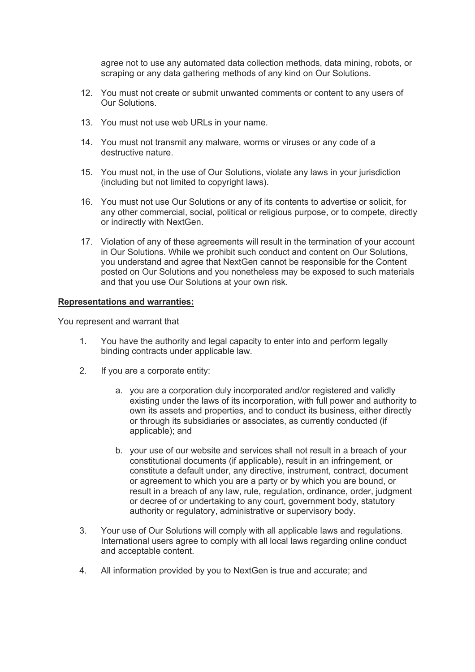agree not to use any automated data collection methods, data mining, robots, or scraping or any data gathering methods of any kind on Our Solutions.

- 12. You must not create or submit unwanted comments or content to any users of Our Solutions.
- 13. You must not use web URLs in your name.
- 14. You must not transmit any malware, worms or viruses or any code of a destructive nature.
- 15. You must not, in the use of Our Solutions, violate any laws in your jurisdiction (including but not limited to copyright laws).
- 16. You must not use Our Solutions or any of its contents to advertise or solicit, for any other commercial, social, political or religious purpose, or to compete, directly or indirectly with NextGen.
- 17. Violation of any of these agreements will result in the termination of your account in Our Solutions. While we prohibit such conduct and content on Our Solutions, you understand and agree that NextGen cannot be responsible for the Content posted on Our Solutions and you nonetheless may be exposed to such materials and that you use Our Solutions at your own risk.

### **Representations and warranties:**

You represent and warrant that

- 1. You have the authority and legal capacity to enter into and perform legally binding contracts under applicable law.
- 2. If you are a corporate entity:
	- a. you are a corporation duly incorporated and/or registered and validly existing under the laws of its incorporation, with full power and authority to own its assets and properties, and to conduct its business, either directly or through its subsidiaries or associates, as currently conducted (if applicable); and
	- b. your use of our website and services shall not result in a breach of your constitutional documents (if applicable), result in an infringement, or constitute a default under, any directive, instrument, contract, document or agreement to which you are a party or by which you are bound, or result in a breach of any law, rule, regulation, ordinance, order, judgment or decree of or undertaking to any court, government body, statutory authority or regulatory, administrative or supervisory body.
- 3. Your use of Our Solutions will comply with all applicable laws and regulations. International users agree to comply with all local laws regarding online conduct and acceptable content.
- 4. All information provided by you to NextGen is true and accurate; and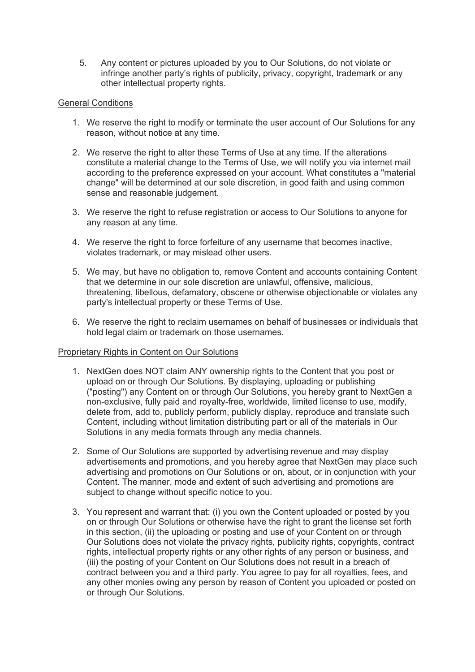5. Any content or pictures uploaded by you to Our Solutions, do not violate or infringe another party's rights of publicity, privacy, copyright, trademark or any other intellectual property rights.

# General Conditions

- 1. We reserve the right to modify or terminate the user account of Our Solutions for any reason, without notice at any time.
- 2. We reserve the right to alter these Terms of Use at any time. If the alterations constitute a material change to the Terms of Use, we will notify you via internet mail according to the preference expressed on your account. What constitutes a "material change" will be determined at our sole discretion, in good faith and using common sense and reasonable judgement.
- 3. We reserve the right to refuse registration or access to Our Solutions to anyone for any reason at any time.
- 4. We reserve the right to force forfeiture of any username that becomes inactive, violates trademark, or may mislead other users.
- 5. We may, but have no obligation to, remove Content and accounts containing Content that we determine in our sole discretion are unlawful, offensive, malicious, threatening, libellous, defamatory, obscene or otherwise objectionable or violates any party's intellectual property or these Terms of Use.
- 6. We reserve the right to reclaim usernames on behalf of businesses or individuals that hold legal claim or trademark on those usernames.

# Proprietary Rights in Content on Our Solutions

- 1. NextGen does NOT claim ANY ownership rights to the Content that you post or upload on or through Our Solutions. By displaying, uploading or publishing ("posting") any Content on or through Our Solutions, you hereby grant to NextGen a non-exclusive, fully paid and royalty-free, worldwide, limited license to use, modify, delete from, add to, publicly perform, publicly display, reproduce and translate such Content, including without limitation distributing part or all of the materials in Our Solutions in any media formats through any media channels.
- 2. Some of Our Solutions are supported by advertising revenue and may display advertisements and promotions, and you hereby agree that NextGen may place such advertising and promotions on Our Solutions or on, about, or in conjunction with your Content. The manner, mode and extent of such advertising and promotions are subject to change without specific notice to you.
- 3. You represent and warrant that: (i) you own the Content uploaded or posted by you on or through Our Solutions or otherwise have the right to grant the license set forth in this section, (ii) the uploading or posting and use of your Content on or through Our Solutions does not violate the privacy rights, publicity rights, copyrights, contract rights, intellectual property rights or any other rights of any person or business, and (iii) the posting of your Content on Our Solutions does not result in a breach of contract between you and a third party. You agree to pay for all royalties, fees, and any other monies owing any person by reason of Content you uploaded or posted on or through Our Solutions.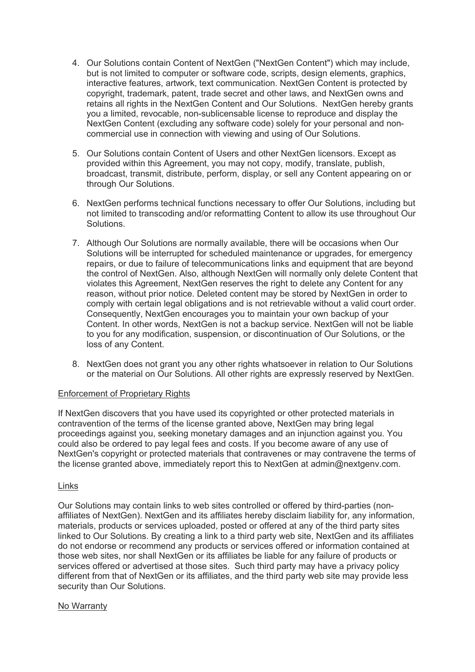- 4. Our Solutions contain Content of NextGen ("NextGen Content") which may include, but is not limited to computer or software code, scripts, design elements, graphics, interactive features, artwork, text communication. NextGen Content is protected by copyright, trademark, patent, trade secret and other laws, and NextGen owns and retains all rights in the NextGen Content and Our Solutions. NextGen hereby grants you a limited, revocable, non-sublicensable license to reproduce and display the NextGen Content (excluding any software code) solely for your personal and noncommercial use in connection with viewing and using of Our Solutions.
- 5. Our Solutions contain Content of Users and other NextGen licensors. Except as provided within this Agreement, you may not copy, modify, translate, publish, broadcast, transmit, distribute, perform, display, or sell any Content appearing on or through Our Solutions.
- 6. NextGen performs technical functions necessary to offer Our Solutions, including but not limited to transcoding and/or reformatting Content to allow its use throughout Our Solutions.
- 7. Although Our Solutions are normally available, there will be occasions when Our Solutions will be interrupted for scheduled maintenance or upgrades, for emergency repairs, or due to failure of telecommunications links and equipment that are beyond the control of NextGen. Also, although NextGen will normally only delete Content that violates this Agreement, NextGen reserves the right to delete any Content for any reason, without prior notice. Deleted content may be stored by NextGen in order to comply with certain legal obligations and is not retrievable without a valid court order. Consequently, NextGen encourages you to maintain your own backup of your Content. In other words, NextGen is not a backup service. NextGen will not be liable to you for any modification, suspension, or discontinuation of Our Solutions, or the loss of any Content.
- 8. NextGen does not grant you any other rights whatsoever in relation to Our Solutions or the material on Our Solutions. All other rights are expressly reserved by NextGen.

# Enforcement of Proprietary Rights

If NextGen discovers that you have used its copyrighted or other protected materials in contravention of the terms of the license granted above, NextGen may bring legal proceedings against you, seeking monetary damages and an injunction against you. You could also be ordered to pay legal fees and costs. If you become aware of any use of NextGen's copyright or protected materials that contravenes or may contravene the terms of the license granted above, immediately report this to NextGen at admin@nextgenv.com.

## Links

Our Solutions may contain links to web sites controlled or offered by third-parties (nonaffiliates of NextGen). NextGen and its affiliates hereby disclaim liability for, any information, materials, products or services uploaded, posted or offered at any of the third party sites linked to Our Solutions. By creating a link to a third party web site, NextGen and its affiliates do not endorse or recommend any products or services offered or information contained at those web sites, nor shall NextGen or its affiliates be liable for any failure of products or services offered or advertised at those sites. Such third party may have a privacy policy different from that of NextGen or its affiliates, and the third party web site may provide less security than Our Solutions.

## No Warranty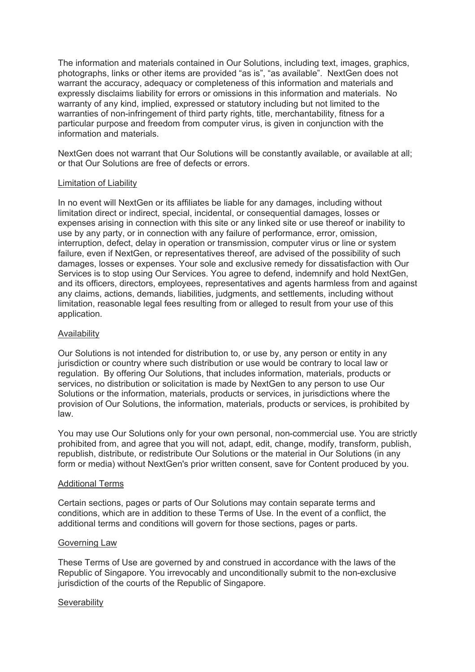The information and materials contained in Our Solutions, including text, images, graphics, photographs, links or other items are provided "as is", "as available". NextGen does not warrant the accuracy, adequacy or completeness of this information and materials and expressly disclaims liability for errors or omissions in this information and materials. No warranty of any kind, implied, expressed or statutory including but not limited to the warranties of non-infringement of third party rights, title, merchantability, fitness for a particular purpose and freedom from computer virus, is given in conjunction with the information and materials.

NextGen does not warrant that Our Solutions will be constantly available, or available at all; or that Our Solutions are free of defects or errors.

## Limitation of Liability

In no event will NextGen or its affiliates be liable for any damages, including without limitation direct or indirect, special, incidental, or consequential damages, losses or expenses arising in connection with this site or any linked site or use thereof or inability to use by any party, or in connection with any failure of performance, error, omission, interruption, defect, delay in operation or transmission, computer virus or line or system failure, even if NextGen, or representatives thereof, are advised of the possibility of such damages, losses or expenses. Your sole and exclusive remedy for dissatisfaction with Our Services is to stop using Our Services. You agree to defend, indemnify and hold NextGen, and its officers, directors, employees, representatives and agents harmless from and against any claims, actions, demands, liabilities, judgments, and settlements, including without limitation, reasonable legal fees resulting from or alleged to result from your use of this application.

### Availability

Our Solutions is not intended for distribution to, or use by, any person or entity in any jurisdiction or country where such distribution or use would be contrary to local law or regulation. By offering Our Solutions, that includes information, materials, products or services, no distribution or solicitation is made by NextGen to any person to use Our Solutions or the information, materials, products or services, in jurisdictions where the provision of Our Solutions, the information, materials, products or services, is prohibited by law.

You may use Our Solutions only for your own personal, non-commercial use. You are strictly prohibited from, and agree that you will not, adapt, edit, change, modify, transform, publish, republish, distribute, or redistribute Our Solutions or the material in Our Solutions (in any form or media) without NextGen's prior written consent, save for Content produced by you.

### Additional Terms

Certain sections, pages or parts of Our Solutions may contain separate terms and conditions, which are in addition to these Terms of Use. In the event of a conflict, the additional terms and conditions will govern for those sections, pages or parts.

### Governing Law

These Terms of Use are governed by and construed in accordance with the laws of the Republic of Singapore. You irrevocably and unconditionally submit to the non-exclusive jurisdiction of the courts of the Republic of Singapore.

### **Severability**